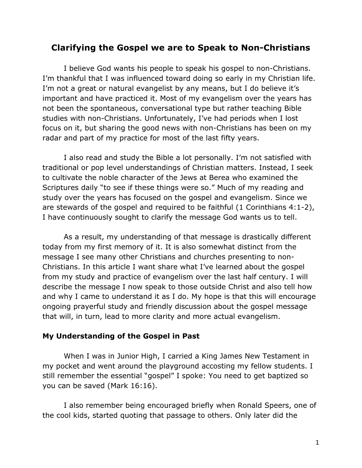# **Clarifying the Gospel we are to Speak to Non-Christians**

I believe God wants his people to speak his gospel to non-Christians. I'm thankful that I was influenced toward doing so early in my Christian life. I'm not a great or natural evangelist by any means, but I do believe it's important and have practiced it. Most of my evangelism over the years has not been the spontaneous, conversational type but rather teaching Bible studies with non-Christians. Unfortunately, I've had periods when I lost focus on it, but sharing the good news with non-Christians has been on my radar and part of my practice for most of the last fifty years.

I also read and study the Bible a lot personally. I'm not satisfied with traditional or pop level understandings of Christian matters. Instead, I seek to cultivate the noble character of the Jews at Berea who examined the Scriptures daily "to see if these things were so." Much of my reading and study over the years has focused on the gospel and evangelism. Since we are stewards of the gospel and required to be faithful (1 Corinthians 4:1-2), I have continuously sought to clarify the message God wants us to tell.

As a result, my understanding of that message is drastically different today from my first memory of it. It is also somewhat distinct from the message I see many other Christians and churches presenting to non-Christians. In this article I want share what I've learned about the gospel from my study and practice of evangelism over the last half century. I will describe the message I now speak to those outside Christ and also tell how and why I came to understand it as I do. My hope is that this will encourage ongoing prayerful study and friendly discussion about the gospel message that will, in turn, lead to more clarity and more actual evangelism.

#### **My Understanding of the Gospel in Past**

When I was in Junior High, I carried a King James New Testament in my pocket and went around the playground accosting my fellow students. I still remember the essential "gospel" I spoke: You need to get baptized so you can be saved (Mark 16:16).

I also remember being encouraged briefly when Ronald Speers, one of the cool kids, started quoting that passage to others. Only later did the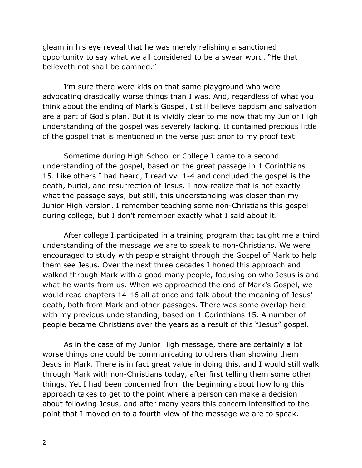gleam in his eye reveal that he was merely relishing a sanctioned opportunity to say what we all considered to be a swear word. "He that believeth not shall be damned."

I'm sure there were kids on that same playground who were advocating drastically worse things than I was. And, regardless of what you think about the ending of Mark's Gospel, I still believe baptism and salvation are a part of God's plan. But it is vividly clear to me now that my Junior High understanding of the gospel was severely lacking. It contained precious little of the gospel that is mentioned in the verse just prior to my proof text.

Sometime during High School or College I came to a second understanding of the gospel, based on the great passage in 1 Corinthians 15. Like others I had heard, I read vv. 1-4 and concluded the gospel is the death, burial, and resurrection of Jesus. I now realize that is not exactly what the passage says, but still, this understanding was closer than my Junior High version. I remember teaching some non-Christians this gospel during college, but I don't remember exactly what I said about it.

After college I participated in a training program that taught me a third understanding of the message we are to speak to non-Christians. We were encouraged to study with people straight through the Gospel of Mark to help them see Jesus. Over the next three decades I honed this approach and walked through Mark with a good many people, focusing on who Jesus is and what he wants from us. When we approached the end of Mark's Gospel, we would read chapters 14-16 all at once and talk about the meaning of Jesus' death, both from Mark and other passages. There was some overlap here with my previous understanding, based on 1 Corinthians 15. A number of people became Christians over the years as a result of this "Jesus" gospel.

As in the case of my Junior High message, there are certainly a lot worse things one could be communicating to others than showing them Jesus in Mark. There is in fact great value in doing this, and I would still walk through Mark with non-Christians today, after first telling them some other things. Yet I had been concerned from the beginning about how long this approach takes to get to the point where a person can make a decision about following Jesus, and after many years this concern intensified to the point that I moved on to a fourth view of the message we are to speak.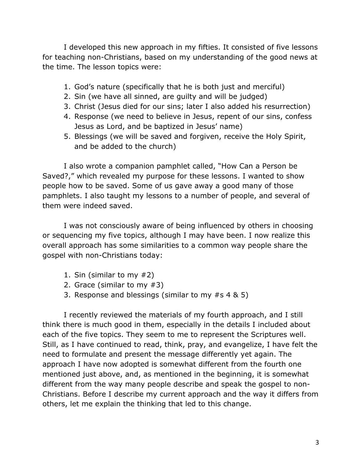I developed this new approach in my fifties. It consisted of five lessons for teaching non-Christians, based on my understanding of the good news at the time. The lesson topics were:

- 1. God's nature (specifically that he is both just and merciful)
- 2. Sin (we have all sinned, are guilty and will be judged)
- 3. Christ (Jesus died for our sins; later I also added his resurrection)
- 4. Response (we need to believe in Jesus, repent of our sins, confess Jesus as Lord, and be baptized in Jesus' name)
- 5. Blessings (we will be saved and forgiven, receive the Holy Spirit, and be added to the church)

I also wrote a companion pamphlet called, "How Can a Person be Saved?," which revealed my purpose for these lessons. I wanted to show people how to be saved. Some of us gave away a good many of those pamphlets. I also taught my lessons to a number of people, and several of them were indeed saved.

I was not consciously aware of being influenced by others in choosing or sequencing my five topics, although I may have been. I now realize this overall approach has some similarities to a common way people share the gospel with non-Christians today:

- 1. Sin (similar to my #2)
- 2. Grace (similar to my #3)
- 3. Response and blessings (similar to my #s 4 & 5)

I recently reviewed the materials of my fourth approach, and I still think there is much good in them, especially in the details I included about each of the five topics. They seem to me to represent the Scriptures well. Still, as I have continued to read, think, pray, and evangelize, I have felt the need to formulate and present the message differently yet again. The approach I have now adopted is somewhat different from the fourth one mentioned just above, and, as mentioned in the beginning, it is somewhat different from the way many people describe and speak the gospel to non-Christians. Before I describe my current approach and the way it differs from others, let me explain the thinking that led to this change.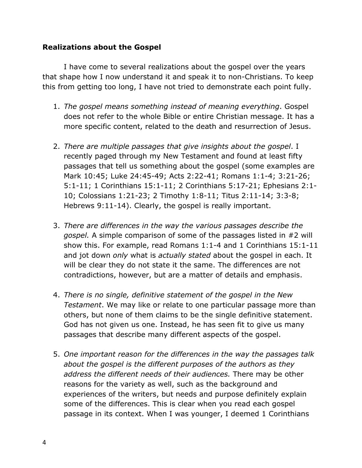## **Realizations about the Gospel**

I have come to several realizations about the gospel over the years that shape how I now understand it and speak it to non-Christians. To keep this from getting too long, I have not tried to demonstrate each point fully.

- 1. *The gospel means something instead of meaning everything*. Gospel does not refer to the whole Bible or entire Christian message. It has a more specific content, related to the death and resurrection of Jesus.
- 2. *There are multiple passages that give insights about the gospel*. I recently paged through my New Testament and found at least fifty passages that tell us something about the gospel (some examples are Mark 10:45; Luke 24:45-49; Acts 2:22-41; Romans 1:1-4; 3:21-26; 5:1-11; 1 Corinthians 15:1-11; 2 Corinthians 5:17-21; Ephesians 2:1- 10; Colossians 1:21-23; 2 Timothy 1:8-11; Titus 2:11-14; 3:3-8; Hebrews 9:11-14). Clearly, the gospel is really important.
- 3. *There are differences in the way the various passages describe the gospel.* A simple comparison of some of the passages listed in #2 will show this. For example, read Romans 1:1-4 and 1 Corinthians 15:1-11 and jot down *only* what is *actually stated* about the gospel in each. It will be clear they do not state it the same. The differences are not contradictions, however, but are a matter of details and emphasis.
- 4. *There is no single, definitive statement of the gospel in the New Testament*. We may like or relate to one particular passage more than others, but none of them claims to be the single definitive statement. God has not given us one. Instead, he has seen fit to give us many passages that describe many different aspects of the gospel.
- 5. *One important reason for the differences in the way the passages talk about the gospel is the different purposes of the authors as they address the different needs of their audiences.* There may be other reasons for the variety as well, such as the background and experiences of the writers, but needs and purpose definitely explain some of the differences. This is clear when you read each gospel passage in its context. When I was younger, I deemed 1 Corinthians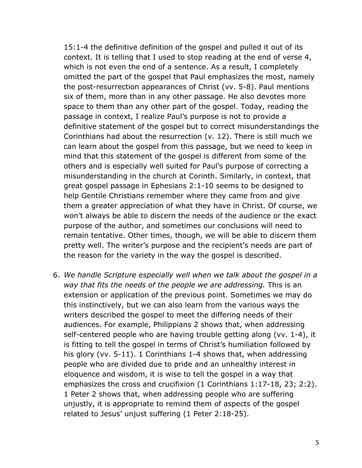15:1-4 the definitive definition of the gospel and pulled it out of its context. It is telling that I used to stop reading at the end of verse 4, which is not even the end of a sentence. As a result, I completely omitted the part of the gospel that Paul emphasizes the most, namely the post-resurrection appearances of Christ (vv. 5-8). Paul mentions six of them, more than in any other passage. He also devotes more space to them than any other part of the gospel. Today, reading the passage in context, I realize Paul's purpose is not to provide a definitive statement of the gospel but to correct misunderstandings the Corinthians had about the resurrection (v. 12). There is still much we can learn about the gospel from this passage, but we need to keep in mind that this statement of the gospel is different from some of the others and is especially well suited for Paul's purpose of correcting a misunderstanding in the church at Corinth. Similarly, in context, that great gospel passage in Ephesians 2:1-10 seems to be designed to help Gentile Christians remember where they came from and give them a greater appreciation of what they have in Christ. Of course, we won't always be able to discern the needs of the audience or the exact purpose of the author, and sometimes our conclusions will need to remain tentative. Other times, though, we will be able to discern them pretty well. The writer's purpose and the recipient's needs are part of the reason for the variety in the way the gospel is described.

6. *We handle Scripture especially well when we talk about the gospel in a way that fits the needs of the people we are addressing.* This is an extension or application of the previous point. Sometimes we may do this instinctively, but we can also learn from the various ways the writers described the gospel to meet the differing needs of their audiences. For example, Philippians 2 shows that, when addressing self-centered people who are having trouble getting along (vv. 1-4), it is fitting to tell the gospel in terms of Christ's humiliation followed by his glory (vv. 5-11). 1 Corinthians 1-4 shows that, when addressing people who are divided due to pride and an unhealthy interest in eloquence and wisdom, it is wise to tell the gospel in a way that emphasizes the cross and crucifixion (1 Corinthians 1:17-18, 23; 2:2). 1 Peter 2 shows that, when addressing people who are suffering unjustly, it is appropriate to remind them of aspects of the gospel related to Jesus' unjust suffering (1 Peter 2:18-25).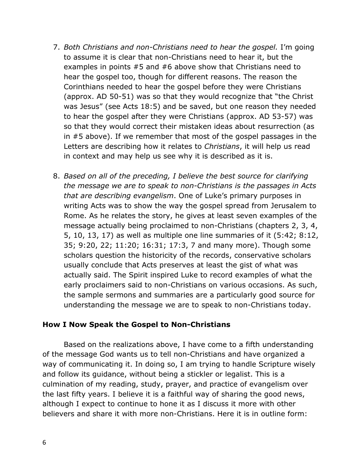- 7. *Both Christians and non-Christians need to hear the gospel.* I'm going to assume it is clear that non-Christians need to hear it, but the examples in points #5 and #6 above show that Christians need to hear the gospel too, though for different reasons. The reason the Corinthians needed to hear the gospel before they were Christians (approx. AD 50-51) was so that they would recognize that "the Christ was Jesus" (see Acts 18:5) and be saved, but one reason they needed to hear the gospel after they were Christians (approx. AD 53-57) was so that they would correct their mistaken ideas about resurrection (as in #5 above). If we remember that most of the gospel passages in the Letters are describing how it relates to *Christians*, it will help us read in context and may help us see why it is described as it is.
- 8. *Based on all of the preceding, I believe the best source for clarifying the message we are to speak to non-Christians is the passages in Acts that are describing evangelism*. One of Luke's primary purposes in writing Acts was to show the way the gospel spread from Jerusalem to Rome. As he relates the story, he gives at least seven examples of the message actually being proclaimed to non-Christians (chapters 2, 3, 4, 5, 10, 13, 17) as well as multiple one line summaries of it (5:42; 8:12, 35; 9:20, 22; 11:20; 16:31; 17:3, 7 and many more). Though some scholars question the historicity of the records, conservative scholars usually conclude that Acts preserves at least the gist of what was actually said. The Spirit inspired Luke to record examples of what the early proclaimers said to non-Christians on various occasions. As such, the sample sermons and summaries are a particularly good source for understanding the message we are to speak to non-Christians today.

### **How I Now Speak the Gospel to Non-Christians**

Based on the realizations above, I have come to a fifth understanding of the message God wants us to tell non-Christians and have organized a way of communicating it. In doing so, I am trying to handle Scripture wisely and follow its guidance, without being a stickler or legalist. This is a culmination of my reading, study, prayer, and practice of evangelism over the last fifty years. I believe it is a faithful way of sharing the good news, although I expect to continue to hone it as I discuss it more with other believers and share it with more non-Christians. Here it is in outline form: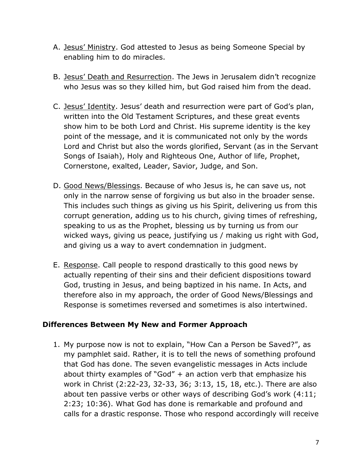- A. Jesus' Ministry. God attested to Jesus as being Someone Special by enabling him to do miracles.
- B. Jesus' Death and Resurrection. The Jews in Jerusalem didn't recognize who Jesus was so they killed him, but God raised him from the dead.
- C. Jesus' Identity. Jesus' death and resurrection were part of God's plan, written into the Old Testament Scriptures, and these great events show him to be both Lord and Christ. His supreme identity is the key point of the message, and it is communicated not only by the words Lord and Christ but also the words glorified, Servant (as in the Servant Songs of Isaiah), Holy and Righteous One, Author of life, Prophet, Cornerstone, exalted, Leader, Savior, Judge, and Son.
- D. Good News/Blessings. Because of who Jesus is, he can save us, not only in the narrow sense of forgiving us but also in the broader sense. This includes such things as giving us his Spirit, delivering us from this corrupt generation, adding us to his church, giving times of refreshing, speaking to us as the Prophet, blessing us by turning us from our wicked ways, giving us peace, justifying us / making us right with God, and giving us a way to avert condemnation in judgment.
- E. Response. Call people to respond drastically to this good news by actually repenting of their sins and their deficient dispositions toward God, trusting in Jesus, and being baptized in his name. In Acts, and therefore also in my approach, the order of Good News/Blessings and Response is sometimes reversed and sometimes is also intertwined.

## **Differences Between My New and Former Approach**

1. My purpose now is not to explain, "How Can a Person be Saved?", as my pamphlet said. Rather, it is to tell the news of something profound that God has done. The seven evangelistic messages in Acts include about thirty examples of "God"  $+$  an action verb that emphasize his work in Christ (2:22-23, 32-33, 36; 3:13, 15, 18, etc.). There are also about ten passive verbs or other ways of describing God's work (4:11; 2:23; 10:36). What God has done is remarkable and profound and calls for a drastic response. Those who respond accordingly will receive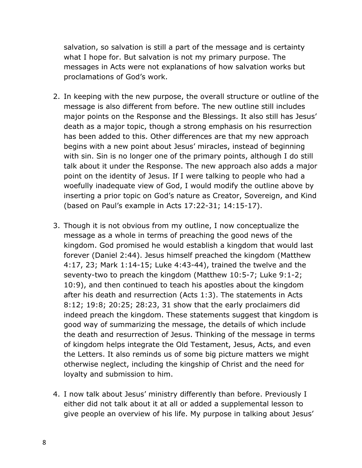salvation, so salvation is still a part of the message and is certainty what I hope for. But salvation is not my primary purpose. The messages in Acts were not explanations of how salvation works but proclamations of God's work.

- 2. In keeping with the new purpose, the overall structure or outline of the message is also different from before. The new outline still includes major points on the Response and the Blessings. It also still has Jesus' death as a major topic, though a strong emphasis on his resurrection has been added to this. Other differences are that my new approach begins with a new point about Jesus' miracles, instead of beginning with sin. Sin is no longer one of the primary points, although I do still talk about it under the Response. The new approach also adds a major point on the identity of Jesus. If I were talking to people who had a woefully inadequate view of God, I would modify the outline above by inserting a prior topic on God's nature as Creator, Sovereign, and Kind (based on Paul's example in Acts 17:22-31; 14:15-17).
- 3. Though it is not obvious from my outline, I now conceptualize the message as a whole in terms of preaching the good news of the kingdom. God promised he would establish a kingdom that would last forever (Daniel 2:44). Jesus himself preached the kingdom (Matthew 4:17, 23; Mark 1:14-15; Luke 4:43-44), trained the twelve and the seventy-two to preach the kingdom (Matthew 10:5-7; Luke 9:1-2; 10:9), and then continued to teach his apostles about the kingdom after his death and resurrection (Acts 1:3). The statements in Acts 8:12; 19:8; 20:25; 28:23, 31 show that the early proclaimers did indeed preach the kingdom. These statements suggest that kingdom is good way of summarizing the message, the details of which include the death and resurrection of Jesus. Thinking of the message in terms of kingdom helps integrate the Old Testament, Jesus, Acts, and even the Letters. It also reminds us of some big picture matters we might otherwise neglect, including the kingship of Christ and the need for loyalty and submission to him.
- 4. I now talk about Jesus' ministry differently than before. Previously I either did not talk about it at all or added a supplemental lesson to give people an overview of his life. My purpose in talking about Jesus'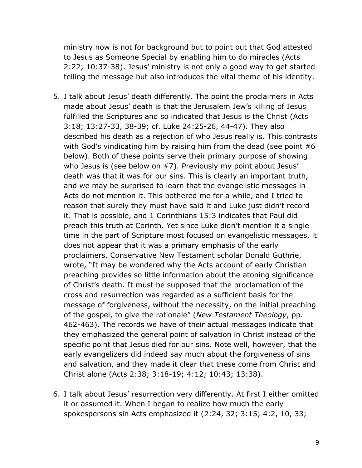ministry now is not for background but to point out that God attested to Jesus as Someone Special by enabling him to do miracles (Acts 2:22; 10:37-38). Jesus' ministry is not only a good way to get started telling the message but also introduces the vital theme of his identity.

- 5. I talk about Jesus' death differently. The point the proclaimers in Acts made about Jesus' death is that the Jerusalem Jew's killing of Jesus fulfilled the Scriptures and so indicated that Jesus is the Christ (Acts 3:18; 13:27-33, 38-39; cf. Luke 24:25-26, 44-47). They also described his death as a rejection of who Jesus really is. This contrasts with God's vindicating him by raising him from the dead (see point #6 below). Both of these points serve their primary purpose of showing who Jesus is (see below on #7). Previously my point about Jesus' death was that it was for our sins. This is clearly an important truth, and we may be surprised to learn that the evangelistic messages in Acts do not mention it. This bothered me for a while, and I tried to reason that surely they must have said it and Luke just didn't record it. That is possible, and 1 Corinthians 15:3 indicates that Paul did preach this truth at Corinth. Yet since Luke didn't mention it a single time in the part of Scripture most focused on evangelistic messages, it does not appear that it was a primary emphasis of the early proclaimers. Conservative New Testament scholar Donald Guthrie, wrote, "It may be wondered why the Acts account of early Christian preaching provides so little information about the atoning significance of Christ's death. It must be supposed that the proclamation of the cross and resurrection was regarded as a sufficient basis for the message of forgiveness, without the necessity, on the initial preaching of the gospel, to give the rationale" (*New Testament Theology*, pp. 462-463). The records we have of their actual messages indicate that they emphasized the general point of salvation in Christ instead of the specific point that Jesus died for our sins. Note well, however, that the early evangelizers did indeed say much about the forgiveness of sins and salvation, and they made it clear that these come from Christ and Christ alone (Acts 2:38; 3:18-19; 4:12; 10:43; 13:38).
- 6. I talk about Jesus' resurrection very differently. At first I either omitted it or assumed it. When I began to realize how much the early spokespersons sin Acts emphasized it (2:24, 32; 3:15; 4:2, 10, 33;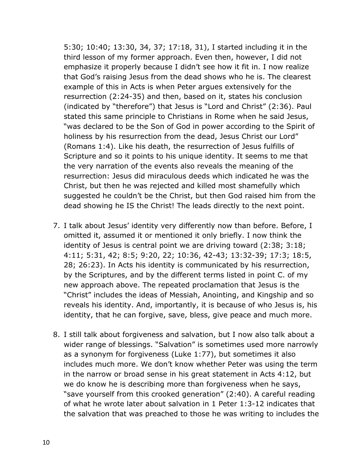5:30; 10:40; 13:30, 34, 37; 17:18, 31), I started including it in the third lesson of my former approach. Even then, however, I did not emphasize it properly because I didn't see how it fit in. I now realize that God's raising Jesus from the dead shows who he is. The clearest example of this in Acts is when Peter argues extensively for the resurrection (2:24-35) and then, based on it, states his conclusion (indicated by "therefore") that Jesus is "Lord and Christ" (2:36). Paul stated this same principle to Christians in Rome when he said Jesus, "was declared to be the Son of God in power according to the Spirit of holiness by his resurrection from the dead, Jesus Christ our Lord" (Romans 1:4). Like his death, the resurrection of Jesus fulfills of Scripture and so it points to his unique identity. It seems to me that the very narration of the events also reveals the meaning of the resurrection: Jesus did miraculous deeds which indicated he was the Christ, but then he was rejected and killed most shamefully which suggested he couldn't be the Christ, but then God raised him from the dead showing he IS the Christ! The leads directly to the next point.

- 7. I talk about Jesus' identity very differently now than before. Before, I omitted it, assumed it or mentioned it only briefly. I now think the identity of Jesus is central point we are driving toward (2:38; 3:18; 4:11; 5:31, 42; 8:5; 9:20, 22; 10:36, 42-43; 13:32-39; 17:3; 18:5, 28; 26:23). In Acts his identity is communicated by his resurrection, by the Scriptures, and by the different terms listed in point C. of my new approach above. The repeated proclamation that Jesus is the "Christ" includes the ideas of Messiah, Anointing, and Kingship and so reveals his identity. And, importantly, it is because of who Jesus is, his identity, that he can forgive, save, bless, give peace and much more.
- 8. I still talk about forgiveness and salvation, but I now also talk about a wider range of blessings. "Salvation" is sometimes used more narrowly as a synonym for forgiveness (Luke 1:77), but sometimes it also includes much more. We don't know whether Peter was using the term in the narrow or broad sense in his great statement in Acts 4:12, but we do know he is describing more than forgiveness when he says, "save yourself from this crooked generation" (2:40). A careful reading of what he wrote later about salvation in 1 Peter 1:3-12 indicates that the salvation that was preached to those he was writing to includes the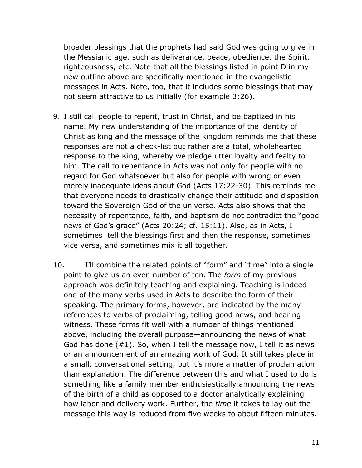broader blessings that the prophets had said God was going to give in the Messianic age, such as deliverance, peace, obedience, the Spirit, righteousness, etc. Note that all the blessings listed in point D in my new outline above are specifically mentioned in the evangelistic messages in Acts. Note, too, that it includes some blessings that may not seem attractive to us initially (for example 3:26).

- 9. I still call people to repent, trust in Christ, and be baptized in his name. My new understanding of the importance of the identity of Christ as king and the message of the kingdom reminds me that these responses are not a check-list but rather are a total, wholehearted response to the King, whereby we pledge utter loyalty and fealty to him. The call to repentance in Acts was not only for people with no regard for God whatsoever but also for people with wrong or even merely inadequate ideas about God (Acts 17:22-30). This reminds me that everyone needs to drastically change their attitude and disposition toward the Sovereign God of the universe. Acts also shows that the necessity of repentance, faith, and baptism do not contradict the "good news of God's grace" (Acts 20:24; cf. 15:11). Also, as in Acts, I sometimes tell the blessings first and then the response, sometimes vice versa, and sometimes mix it all together.
- 10. I'll combine the related points of "form" and "time" into a single point to give us an even number of ten. The *form* of my previous approach was definitely teaching and explaining. Teaching is indeed one of the many verbs used in Acts to describe the form of their speaking. The primary forms, however, are indicated by the many references to verbs of proclaiming, telling good news, and bearing witness. These forms fit well with a number of things mentioned above, including the overall purpose—announcing the news of what God has done  $(\#1)$ . So, when I tell the message now, I tell it as news or an announcement of an amazing work of God. It still takes place in a small, conversational setting, but it's more a matter of proclamation than explanation. The difference between this and what I used to do is something like a family member enthusiastically announcing the news of the birth of a child as opposed to a doctor analytically explaining how labor and delivery work. Further, the *time* it takes to lay out the message this way is reduced from five weeks to about fifteen minutes.